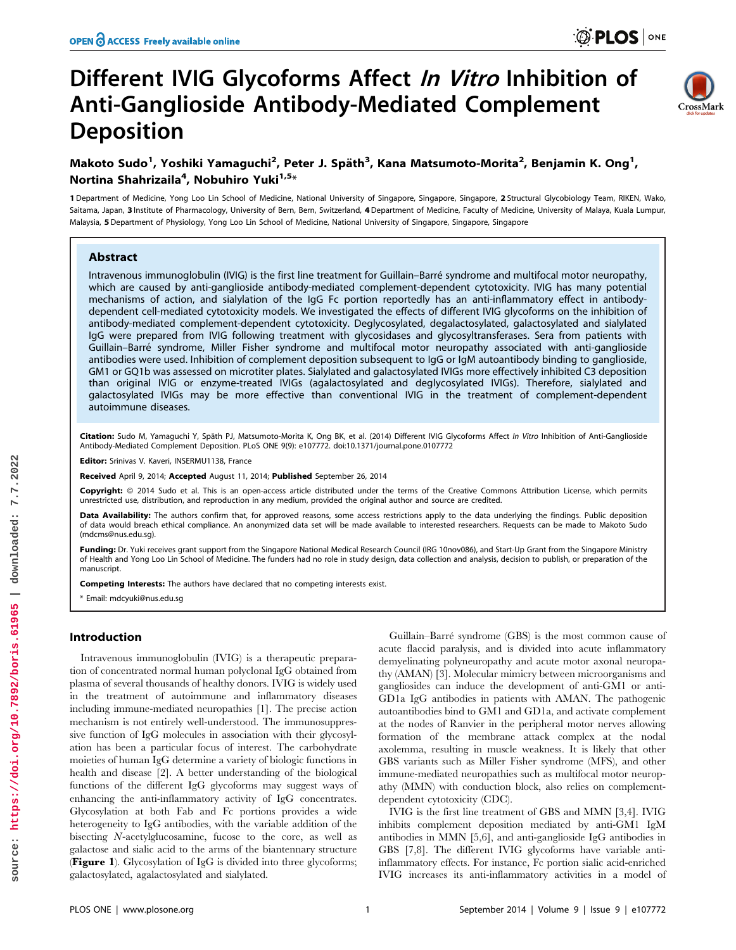# Different IVIG Glycoforms Affect In Vitro Inhibition of Anti-Ganglioside Antibody-Mediated Complement Deposition



# Makoto Sudo<sup>1</sup>, Yoshiki Yamaguchi<sup>2</sup>, Peter J. Späth<sup>3</sup>, Kana Matsumoto-Morita<sup>2</sup>, Benjamin K. Ong<sup>1</sup>, Nortina Shahrizaila<sup>4</sup>, Nobuhiro Yuki<sup>1,5</sup>\*

1 Department of Medicine, Yong Loo Lin School of Medicine, National University of Singapore, Singapore, Singapore, 2 Structural Glycobiology Team, RIKEN, Wako, Saitama, Japan, 3 Institute of Pharmacology, University of Bern, Bern, Switzerland, 4 Department of Medicine, Faculty of Medicine, University of Malaya, Kuala Lumpur, Malaysia, 5 Department of Physiology, Yong Loo Lin School of Medicine, National University of Singapore, Singapore, Singapore

## Abstract

Intravenous immunoglobulin (IVIG) is the first line treatment for Guillain–Barré syndrome and multifocal motor neuropathy, which are caused by anti-ganglioside antibody-mediated complement-dependent cytotoxicity. IVIG has many potential mechanisms of action, and sialylation of the IgG Fc portion reportedly has an anti-inflammatory effect in antibodydependent cell-mediated cytotoxicity models. We investigated the effects of different IVIG glycoforms on the inhibition of antibody-mediated complement-dependent cytotoxicity. Deglycosylated, degalactosylated, galactosylated and sialylated IgG were prepared from IVIG following treatment with glycosidases and glycosyltransferases. Sera from patients with Guillain–Barré syndrome, Miller Fisher syndrome and multifocal motor neuropathy associated with anti-ganglioside antibodies were used. Inhibition of complement deposition subsequent to IgG or IgM autoantibody binding to ganglioside, GM1 or GQ1b was assessed on microtiter plates. Sialylated and galactosylated IVIGs more effectively inhibited C3 deposition than original IVIG or enzyme-treated IVIGs (agalactosylated and deglycosylated IVIGs). Therefore, sialylated and galactosylated IVIGs may be more effective than conventional IVIG in the treatment of complement-dependent autoimmune diseases.

Citation: Sudo M, Yamaguchi Y, Späth PJ, Matsumoto-Morita K, Ong BK, et al. (2014) Different IVIG Glycoforms Affect In Vitro Inhibition of Anti-Ganglioside Antibody-Mediated Complement Deposition. PLoS ONE 9(9): e107772. doi:10.1371/journal.pone.0107772

Editor: Srinivas V. Kaveri, INSERMU1138, France

Received April 9, 2014; Accepted August 11, 2014; Published September 26, 2014

Copyright: © 2014 Sudo et al. This is an open-access article distributed under the terms of the [Creative Commons Attribution License,](http://creativecommons.org/licenses/by/4.0/) which permits unrestricted use, distribution, and reproduction in any medium, provided the original author and source are credited.

Data Availability: The authors confirm that, for approved reasons, some access restrictions apply to the data underlying the findings. Public deposition of data would breach ethical compliance. An anonymized data set will be made available to interested researchers. Requests can be made to Makoto Sudo (mdcms@nus.edu.sg).

Funding: Dr. Yuki receives grant support from the Singapore National Medical Research Council (IRG 10nov086), and Start-Up Grant from the Singapore Ministry of Health and Yong Loo Lin School of Medicine. The funders had no role in study design, data collection and analysis, decision to publish, or preparation of the manuscript.

Competing Interests: The authors have declared that no competing interests exist.

\* Email: mdcyuki@nus.edu.sg

# Introduction

Intravenous immunoglobulin (IVIG) is a therapeutic preparation of concentrated normal human polyclonal IgG obtained from plasma of several thousands of healthy donors. IVIG is widely used in the treatment of autoimmune and inflammatory diseases including immune-mediated neuropathies [1]. The precise action mechanism is not entirely well-understood. The immunosuppressive function of IgG molecules in association with their glycosylation has been a particular focus of interest. The carbohydrate moieties of human IgG determine a variety of biologic functions in health and disease [2]. A better understanding of the biological functions of the different IgG glycoforms may suggest ways of enhancing the anti-inflammatory activity of IgG concentrates. Glycosylation at both Fab and Fc portions provides a wide heterogeneity to IgG antibodies, with the variable addition of the bisecting N-acetylglucosamine, fucose to the core, as well as galactose and sialic acid to the arms of the biantennary structure (Figure 1). Glycosylation of IgG is divided into three glycoforms; galactosylated, agalactosylated and sialylated.

Guillain–Barré syndrome (GBS) is the most common cause of acute flaccid paralysis, and is divided into acute inflammatory demyelinating polyneuropathy and acute motor axonal neuropathy (AMAN) [3]. Molecular mimicry between microorganisms and gangliosides can induce the development of anti-GM1 or anti-GD1a IgG antibodies in patients with AMAN. The pathogenic autoantibodies bind to GM1 and GD1a, and activate complement at the nodes of Ranvier in the peripheral motor nerves allowing formation of the membrane attack complex at the nodal axolemma, resulting in muscle weakness. It is likely that other GBS variants such as Miller Fisher syndrome (MFS), and other immune-mediated neuropathies such as multifocal motor neuropathy (MMN) with conduction block, also relies on complementdependent cytotoxicity (CDC).

IVIG is the first line treatment of GBS and MMN [3,4]. IVIG inhibits complement deposition mediated by anti-GM1 IgM antibodies in MMN [5,6], and anti-ganglioside IgG antibodies in GBS [7,8]. The different IVIG glycoforms have variable antiinflammatory effects. For instance, Fc portion sialic acid-enriched IVIG increases its anti-inflammatory activities in a model of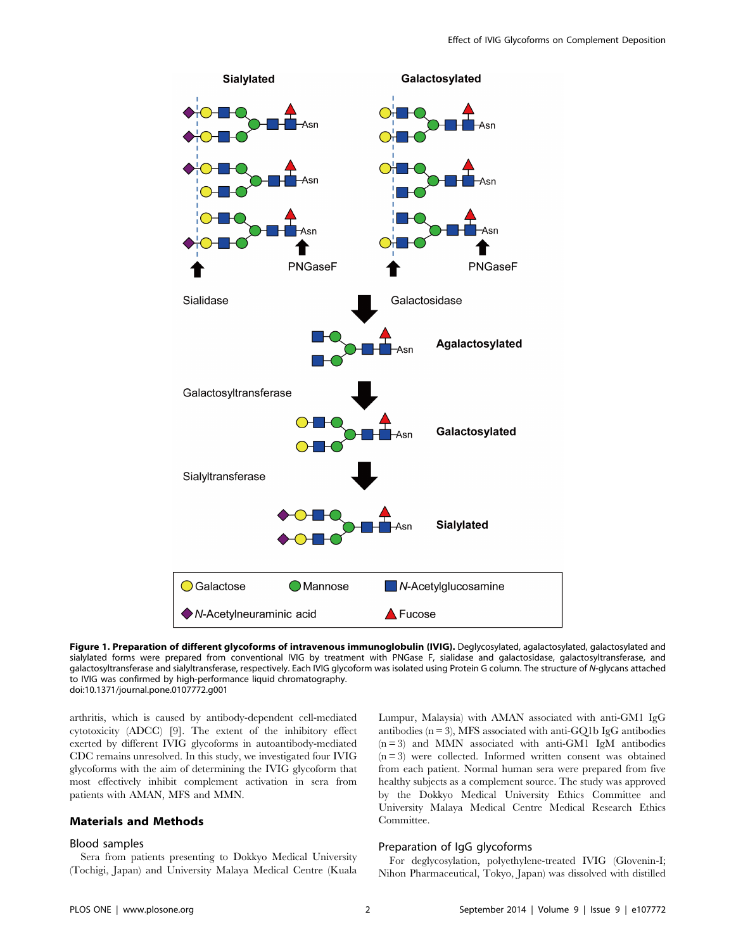

Figure 1. Preparation of different glycoforms of intravenous immunoglobulin (IVIG). Deglycosylated, agalactosylated, galactosylated and sialylated forms were prepared from conventional IVIG by treatment with PNGase F, sialidase and galactosidase, galactosyltransferase, and galactosyltransferase and sialyltransferase, respectively. Each IVIG glycoform was isolated using Protein G column. The structure of N-glycans attached to IVIG was confirmed by high-performance liquid chromatography. doi:10.1371/journal.pone.0107772.g001

arthritis, which is caused by antibody-dependent cell-mediated cytotoxicity (ADCC) [9]. The extent of the inhibitory effect exerted by different IVIG glycoforms in autoantibody-mediated CDC remains unresolved. In this study, we investigated four IVIG glycoforms with the aim of determining the IVIG glycoform that most effectively inhibit complement activation in sera from patients with AMAN, MFS and MMN.

#### Materials and Methods

### Blood samples

Sera from patients presenting to Dokkyo Medical University (Tochigi, Japan) and University Malaya Medical Centre (Kuala

Lumpur, Malaysia) with AMAN associated with anti-GM1 IgG antibodies ( $n = 3$ ), MFS associated with anti-GQ1b IgG antibodies  $(n=3)$  and MMN associated with anti-GM1 IgM antibodies  $(n=3)$  were collected. Informed written consent was obtained from each patient. Normal human sera were prepared from five healthy subjects as a complement source. The study was approved by the Dokkyo Medical University Ethics Committee and University Malaya Medical Centre Medical Research Ethics Committee.

## Preparation of IgG glycoforms

For deglycosylation, polyethylene-treated IVIG (Glovenin-I; Nihon Pharmaceutical, Tokyo, Japan) was dissolved with distilled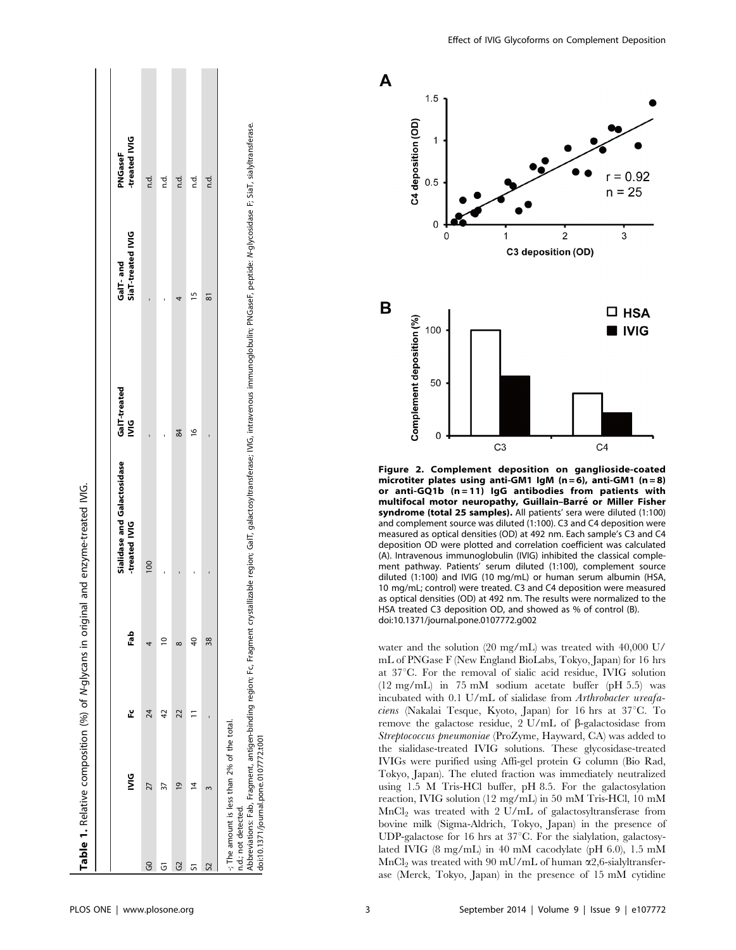|                     | $\frac{6}{2}$                               | ێ  | Fab            | Sialidase and Galactosidase<br>treated IVIG                                                                                                                                                                                    | GalT-treated<br>ι<br>Σ | SiaT-treated IVIG<br>GalT-and | -treated IVIG<br>PNGaseF |
|---------------------|---------------------------------------------|----|----------------|--------------------------------------------------------------------------------------------------------------------------------------------------------------------------------------------------------------------------------|------------------------|-------------------------------|--------------------------|
| G                   |                                             | 24 |                | $\frac{8}{1}$                                                                                                                                                                                                                  |                        |                               | c.<br>C                  |
| G                   | 37                                          | 42 | ∘              |                                                                                                                                                                                                                                |                        |                               | c.<br>C                  |
| G                   | $\overline{9}$                              | 22 | $^{\circ}$     |                                                                                                                                                                                                                                | 84                     |                               | n.d.                     |
| 5                   | 4                                           |    | $\overline{a}$ |                                                                                                                                                                                                                                | $\frac{6}{1}$          | ∩                             | n.d.                     |
| S2                  |                                             |    | 38             |                                                                                                                                                                                                                                |                        | ౚ                             | c.                       |
| n.d.; not detected. | -; The amount is less than 2% of the total. |    |                | Abeningste Eramont antiquinding region Eramont contrable rotion Estate in color contrable della contrabulation della contrability della regionale dell'interacce dell'interacce dell'interacce dell'interacce dell'interacce d |                        |                               |                          |

 $\overline{1}$ 

**College** 

**Contract** 

 $\mathbf{L}$ 

Abbreviations: Fab, Fragment, antigen-binding region; Fc, Fragment crystallizable region; GalT, galactosyltransferase; IVIG, intravenous immunoglobulin; PNGaseF, peptide: N-glycosidase F; SiaT, sialyltransferase. egicrals.completed.integrated.in Fragment crystallizable Ľ | Abbreviations: Fab, Fragment, antigen-binding region;<br>| doi:10.1371/journal.pone.0107772.t001 doi:10.1371/journal.pone.0107772.t001



Fiaure 2. Complement deposition on ganglioside-coated microtiter plates using anti-GM1 IgM ( $n = 6$ ), anti-GM1 ( $n = 8$ ) or anti-GQ1b  $(n = 11)$  IgG antibodies from patients with multifocal motor neuropathy, Guillain-Barré or Miller Fisher syndrome (total 25 samples). All patients' sera were diluted (1:100) and complement source was diluted (1:100). C3 and C4 deposition were measured as optical densities (OD) at 492 nm. Each sample's C3 and C4 deposition OD were plotted and correlation coefficient was calculated (A). Intravenous immunoglobulin (IVIG) inhibited the classical complement pathway. Patients' serum diluted (1:100), complement source diluted (1:100) and IVIG (10 mg/mL) or human serum albumin (HSA, 10 mg/mL; control) were treated. C3 and C4 deposition were measured as optical densities (OD) at 492 nm. The results were normalized to the HSA treated C3 deposition OD, and showed as % of control (B). doi:10.1371/journal.pone.0107772.g002

water and the solution (20 mg/mL) was treated with 40,000 U/ mL of PNGase F (New England BioLabs, Tokyo, Japan) for 16 hrs at 37°C. For the removal of sialic acid residue, IVIG solution (12 mg/mL) in 75 mM sodium acetate buffer (pH 5.5) was incubated with 0.1 U/mL of sialidase from Arthrobacter ureafa $ciens$  (Nakalai Tesque, Kyoto, Japan) for 16 hrs at 37°C. To remove the galactose residue, 2 U/mL of  $\beta$ -galactosidase from Streptococcus pneumoniae (ProZyme, Hayward, CA) was added to the sialidase-treated IVIG solutions. These glycosidase-treated IVIGs were purified using Affi-gel protein G column (Bio Rad, Tokyo, Japan). The eluted fraction was immediately neutralized using 1.5 M Tris-HCl buffer, pH 8.5. For the galactosylation reaction, IVIG solution (12 mg/mL) in 50 mM Tris-HCl, 10 mM MnCl<sub>2</sub> was treated with 2 U/mL of galactosyltransferase from bovine milk (Sigma-Aldrich, Tokyo, Japan) in the presence of UDP-galactose for 16 hrs at  $37^{\circ}$ C. For the sialylation, galactosylated IVIG (8 mg/mL) in 40 mM cacodylate (pH 6.0), 1.5 mM MnCl<sub>2</sub> was treated with 90 mU/mL of human  $\alpha$ 2,6-sialyltransferase (Merck, Tokyo, Japan) in the presence of 15 mM cytidine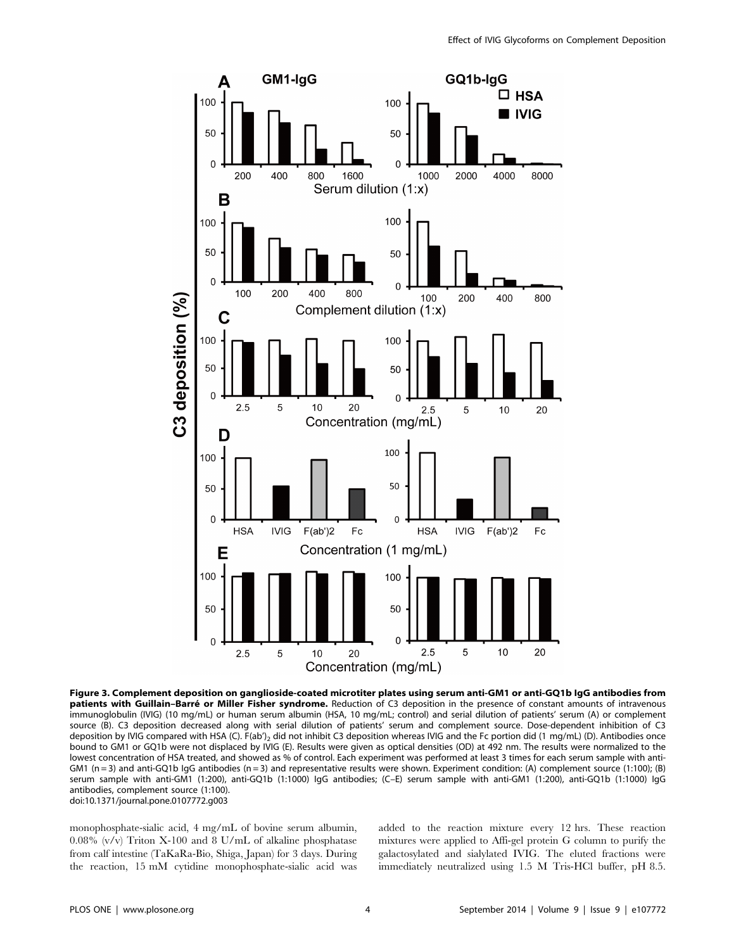

Figure 3. Complement deposition on ganglioside-coated microtiter plates using serum anti-GM1 or anti-GQ1b IgG antibodies from patients with Guillain-Barré or Miller Fisher syndrome. Reduction of C3 deposition in the presence of constant amounts of intravenous immunoglobulin (IVIG) (10 mg/mL) or human serum albumin (HSA, 10 mg/mL; control) and serial dilution of patients' serum (A) or complement source (B). C3 deposition decreased along with serial dilution of patients' serum and complement source. Dose-dependent inhibition of C3 deposition by IVIG compared with HSA (C). F(ab')<sub>2</sub> did not inhibit C3 deposition whereas IVIG and the Fc portion did (1 mg/mL) (D). Antibodies once bound to GM1 or GQ1b were not displaced by IVIG (E). Results were given as optical densities (OD) at 492 nm. The results were normalized to the lowest concentration of HSA treated, and showed as % of control. Each experiment was performed at least 3 times for each serum sample with anti-GM1 (n = 3) and anti-GQ1b IgG antibodies (n = 3) and representative results were shown. Experiment condition: (A) complement source (1:100); (B) serum sample with anti-GM1 (1:200), anti-GQ1b (1:1000) IgG antibodies; (C–E) serum sample with anti-GM1 (1:200), anti-GQ1b (1:1000) IgG antibodies, complement source (1:100). doi:10.1371/journal.pone.0107772.g003

monophosphate-sialic acid, 4 mg/mL of bovine serum albumin, 0.08% (v/v) Triton X-100 and 8 U/mL of alkaline phosphatase from calf intestine (TaKaRa-Bio, Shiga, Japan) for 3 days. During the reaction, 15 mM cytidine monophosphate-sialic acid was added to the reaction mixture every 12 hrs. These reaction mixtures were applied to Affi-gel protein G column to purify the galactosylated and sialylated IVIG. The eluted fractions were immediately neutralized using 1.5 M Tris-HCl buffer, pH 8.5.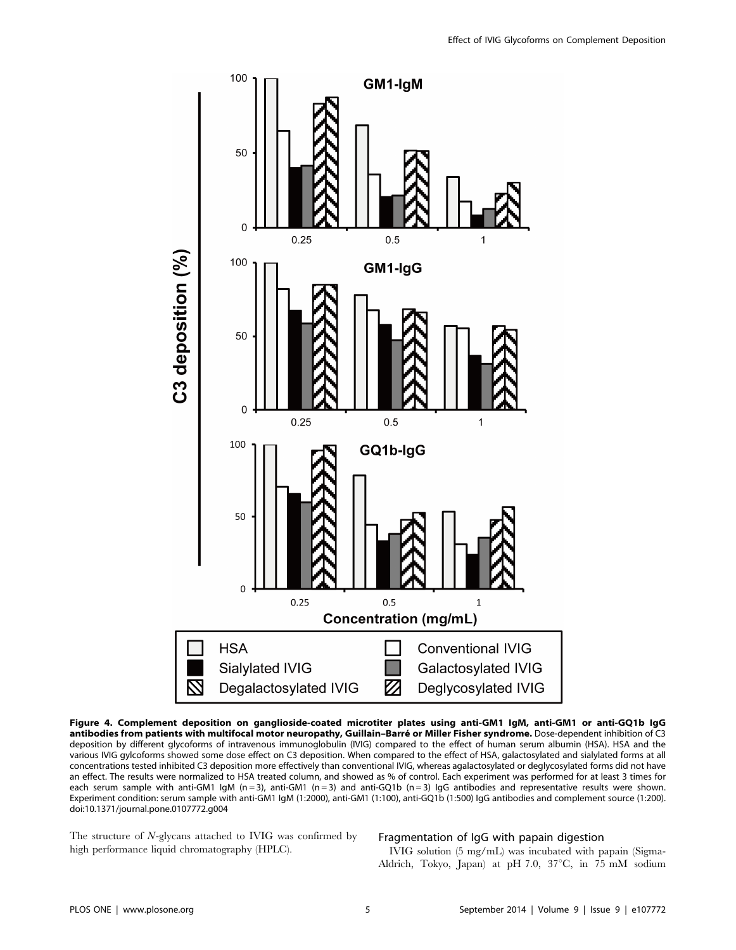

Figure 4. Complement deposition on ganglioside-coated microtiter plates using anti-GM1 IgM, anti-GM1 or anti-GQ1b IgG antibodies from patients with multifocal motor neuropathy, Guillain-Barré or Miller Fisher syndrome. Dose-dependent inhibition of C3 deposition by different glycoforms of intravenous immunoglobulin (IVIG) compared to the effect of human serum albumin (HSA). HSA and the various IVIG gylcoforms showed some dose effect on C3 deposition. When compared to the effect of HSA, galactosylated and sialylated forms at all concentrations tested inhibited C3 deposition more effectively than conventional IVIG, whereas agalactosylated or deglycosylated forms did not have an effect. The results were normalized to HSA treated column, and showed as % of control. Each experiment was performed for at least 3 times for each serum sample with anti-GM1 IgM (n = 3), anti-GM1 (n = 3) and anti-GQ1b (n = 3) IgG antibodies and representative results were shown. Experiment condition: serum sample with anti-GM1 IgM (1:2000), anti-GM1 (1:100), anti-GQ1b (1:500) IgG antibodies and complement source (1:200). doi:10.1371/journal.pone.0107772.g004

The structure of N-glycans attached to IVIG was confirmed by high performance liquid chromatography (HPLC).

# Fragmentation of IgG with papain digestion

IVIG solution (5 mg/mL) was incubated with papain (Sigma-Aldrich, Tokyo, Japan) at pH 7.0,  $37^{\circ}$ C, in 75 mM sodium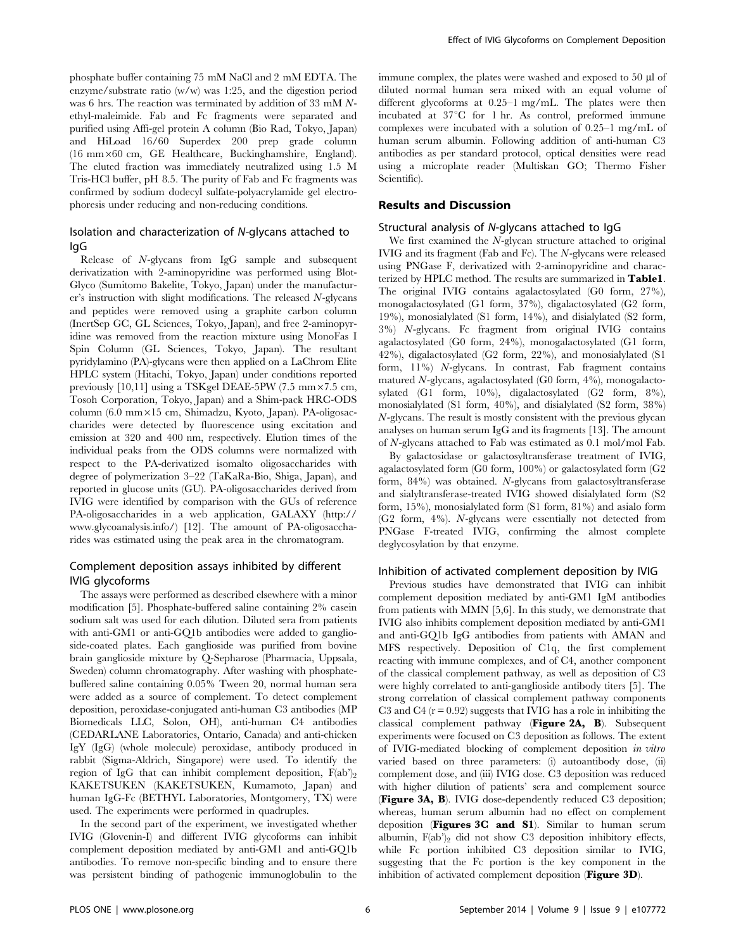phosphate buffer containing 75 mM NaCl and 2 mM EDTA. The enzyme/substrate ratio (w/w) was 1:25, and the digestion period was 6 hrs. The reaction was terminated by addition of 33 mM Nethyl-maleimide. Fab and Fc fragments were separated and purified using Affi-gel protein A column (Bio Rad, Tokyo, Japan) and HiLoad 16/60 Superdex 200 prep grade column  $(16 \text{ mm} \times 60 \text{ cm}, \text{ GE}$  Healthcare, Buckinghamshire, England). The eluted fraction was immediately neutralized using 1.5 M Tris-HCl buffer, pH 8.5. The purity of Fab and Fc fragments was confirmed by sodium dodecyl sulfate-polyacrylamide gel electrophoresis under reducing and non-reducing conditions.

# Isolation and characterization of N-glycans attached to IgG

Release of N-glycans from IgG sample and subsequent derivatization with 2-aminopyridine was performed using Blot-Glyco (Sumitomo Bakelite, Tokyo, Japan) under the manufacturer's instruction with slight modifications. The released N-glycans and peptides were removed using a graphite carbon column (InertSep GC, GL Sciences, Tokyo, Japan), and free 2-aminopyridine was removed from the reaction mixture using MonoFas I Spin Column (GL Sciences, Tokyo, Japan). The resultant pyridylamino (PA)-glycans were then applied on a LaChrom Elite HPLC system (Hitachi, Tokyo, Japan) under conditions reported previously  $[10,11]$  using a TSKgel DEAE-5PW (7.5 mm $\times$ 7.5 cm, Tosoh Corporation, Tokyo, Japan) and a Shim-pack HRC-ODS column (6.0 mm×15 cm, Shimadzu, Kyoto, Japan). PA-oligosaccharides were detected by fluorescence using excitation and emission at 320 and 400 nm, respectively. Elution times of the individual peaks from the ODS columns were normalized with respect to the PA-derivatized isomalto oligosaccharides with degree of polymerization 3–22 (TaKaRa-Bio, Shiga, Japan), and reported in glucose units (GU). PA-oligosaccharides derived from IVIG were identified by comparison with the GUs of reference PA-oligosaccharides in a web application, GALAXY (http:// www.glycoanalysis.info/) [12]. The amount of PA-oligosaccharides was estimated using the peak area in the chromatogram.

# Complement deposition assays inhibited by different IVIG glycoforms

The assays were performed as described elsewhere with a minor modification [5]. Phosphate-buffered saline containing 2% casein sodium salt was used for each dilution. Diluted sera from patients with anti-GM1 or anti-GQ1b antibodies were added to ganglioside-coated plates. Each ganglioside was purified from bovine brain ganglioside mixture by Q-Sepharose (Pharmacia, Uppsala, Sweden) column chromatography. After washing with phosphatebuffered saline containing 0.05% Tween 20, normal human sera were added as a source of complement. To detect complement deposition, peroxidase-conjugated anti-human C3 antibodies (MP Biomedicals LLC, Solon, OH), anti-human C4 antibodies (CEDARLANE Laboratories, Ontario, Canada) and anti-chicken IgY (IgG) (whole molecule) peroxidase, antibody produced in rabbit (Sigma-Aldrich, Singapore) were used. To identify the region of IgG that can inhibit complement deposition,  $F(ab')_2$ KAKETSUKEN (KAKETSUKEN, Kumamoto, Japan) and human IgG-Fc (BETHYL Laboratories, Montgomery, TX) were used. The experiments were performed in quadruples.

In the second part of the experiment, we investigated whether IVIG (Glovenin-I) and different IVIG glycoforms can inhibit complement deposition mediated by anti-GM1 and anti-GQ1b antibodies. To remove non-specific binding and to ensure there was persistent binding of pathogenic immunoglobulin to the

immune complex, the plates were washed and exposed to  $50 \mu l$  of diluted normal human sera mixed with an equal volume of different glycoforms at 0.25–1 mg/mL. The plates were then incubated at  $37^{\circ}$ C for 1 hr. As control, preformed immune complexes were incubated with a solution of 0.25–1 mg/mL of human serum albumin. Following addition of anti-human C3 antibodies as per standard protocol, optical densities were read using a microplate reader (Multiskan GO; Thermo Fisher Scientific).

#### Results and Discussion

#### Structural analysis of N-glycans attached to IgG

We first examined the N-glycan structure attached to original IVIG and its fragment (Fab and Fc). The N-glycans were released using PNGase F, derivatized with 2-aminopyridine and characterized by HPLC method. The results are summarized in Table1. The original IVIG contains agalactosylated (G0 form, 27%), monogalactosylated (G1 form, 37%), digalactosylated (G2 form, 19%), monosialylated (S1 form, 14%), and disialylated (S2 form, 3%) N-glycans. Fc fragment from original IVIG contains agalactosylated (G0 form, 24%), monogalactosylated (G1 form, 42%), digalactosylated (G2 form, 22%), and monosialylated (S1 form, 11%) N-glycans. In contrast, Fab fragment contains matured N-glycans, agalactosylated (G0 form, 4%), monogalactosylated (G1 form, 10%), digalactosylated (G2 form, 8%), monosialylated (S1 form, 40%), and disialylated (S2 form, 38%) N-glycans. The result is mostly consistent with the previous glycan analyses on human serum IgG and its fragments [13]. The amount of N-glycans attached to Fab was estimated as 0.1 mol/mol Fab.

By galactosidase or galactosyltransferase treatment of IVIG, agalactosylated form (G0 form, 100%) or galactosylated form (G2 form, 84%) was obtained. N-glycans from galactosyltransferase and sialyltransferase-treated IVIG showed disialylated form (S2 form, 15%), monosialylated form (S1 form, 81%) and asialo form (G2 form, 4%). N-glycans were essentially not detected from PNGase F-treated IVIG, confirming the almost complete deglycosylation by that enzyme.

#### Inhibition of activated complement deposition by IVIG

Previous studies have demonstrated that IVIG can inhibit complement deposition mediated by anti-GM1 IgM antibodies from patients with MMN [5,6]. In this study, we demonstrate that IVIG also inhibits complement deposition mediated by anti-GM1 and anti-GQ1b IgG antibodies from patients with AMAN and MFS respectively. Deposition of C1q, the first complement reacting with immune complexes, and of C4, another component of the classical complement pathway, as well as deposition of C3 were highly correlated to anti-ganglioside antibody titers [5]. The strong correlation of classical complement pathway components C3 and C4  $(r = 0.92)$  suggests that IVIG has a role in inhibiting the classical complement pathway (Figure 2A, B). Subsequent experiments were focused on C3 deposition as follows. The extent of IVIG-mediated blocking of complement deposition in vitro varied based on three parameters: (i) autoantibody dose, (ii) complement dose, and (iii) IVIG dose. C3 deposition was reduced with higher dilution of patients' sera and complement source (Figure 3A, B). IVIG dose-dependently reduced C3 deposition; whereas, human serum albumin had no effect on complement deposition (Figures 3C and S1). Similar to human serum albumin,  $F(ab')$  did not show C3 deposition inhibitory effects, while Fc portion inhibited C3 deposition similar to IVIG, suggesting that the Fc portion is the key component in the inhibition of activated complement deposition (Figure 3D).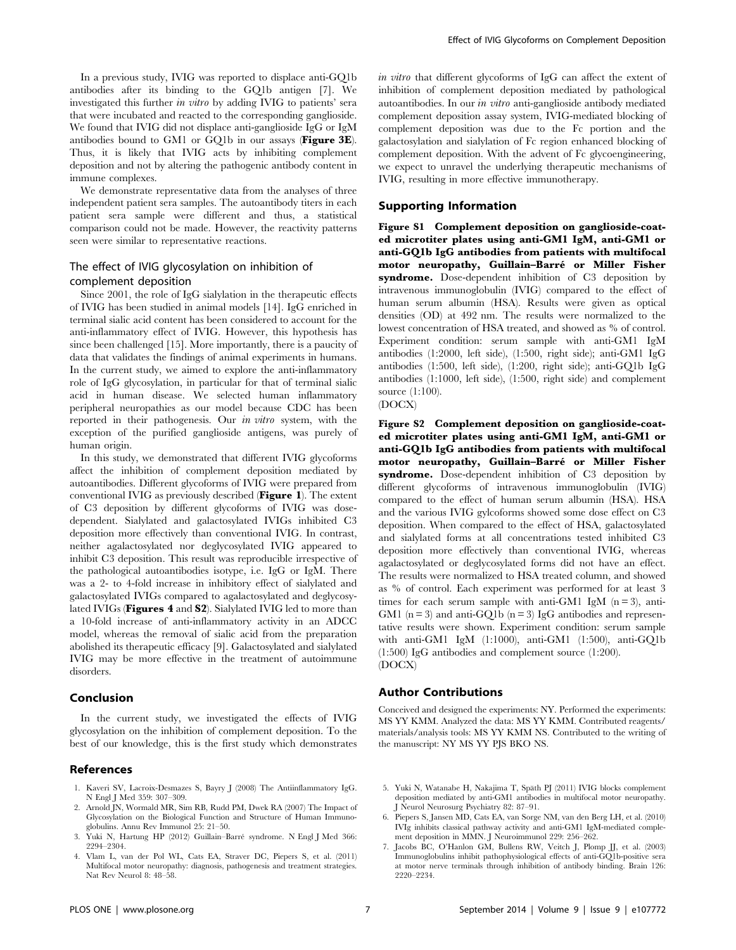In a previous study, IVIG was reported to displace anti-GQ1b antibodies after its binding to the GQ1b antigen [7]. We investigated this further in vitro by adding IVIG to patients' sera that were incubated and reacted to the corresponding ganglioside. We found that IVIG did not displace anti-ganglioside IgG or IgM antibodies bound to GM1 or GQ1b in our assays (Figure 3E). Thus, it is likely that IVIG acts by inhibiting complement deposition and not by altering the pathogenic antibody content in immune complexes.

We demonstrate representative data from the analyses of three independent patient sera samples. The autoantibody titers in each patient sera sample were different and thus, a statistical comparison could not be made. However, the reactivity patterns seen were similar to representative reactions.

# The effect of IVIG glycosylation on inhibition of complement deposition

Since 2001, the role of IgG sialylation in the therapeutic effects of IVIG has been studied in animal models [14]. IgG enriched in terminal sialic acid content has been considered to account for the anti-inflammatory effect of IVIG. However, this hypothesis has since been challenged [15]. More importantly, there is a paucity of data that validates the findings of animal experiments in humans. In the current study, we aimed to explore the anti-inflammatory role of IgG glycosylation, in particular for that of terminal sialic acid in human disease. We selected human inflammatory peripheral neuropathies as our model because CDC has been reported in their pathogenesis. Our in vitro system, with the exception of the purified ganglioside antigens, was purely of human origin.

In this study, we demonstrated that different IVIG glycoforms affect the inhibition of complement deposition mediated by autoantibodies. Different glycoforms of IVIG were prepared from conventional IVIG as previously described (Figure 1). The extent of C3 deposition by different glycoforms of IVIG was dosedependent. Sialylated and galactosylated IVIGs inhibited C3 deposition more effectively than conventional IVIG. In contrast, neither agalactosylated nor deglycosylated IVIG appeared to inhibit C3 deposition. This result was reproducible irrespective of the pathological autoantibodies isotype, i.e. IgG or IgM. There was a 2- to 4-fold increase in inhibitory effect of sialylated and galactosylated IVIGs compared to agalactosylated and deglycosylated IVIGs (Figures 4 and S2). Sialylated IVIG led to more than a 10-fold increase of anti-inflammatory activity in an ADCC model, whereas the removal of sialic acid from the preparation abolished its therapeutic efficacy [9]. Galactosylated and sialylated IVIG may be more effective in the treatment of autoimmune disorders.

#### Conclusion

In the current study, we investigated the effects of IVIG glycosylation on the inhibition of complement deposition. To the best of our knowledge, this is the first study which demonstrates

#### References

- 1. Kaveri SV, Lacroix-Desmazes S, Bayry J (2008) The Antiinflammatory IgG. N Engl J Med 359: 307–309.
- 2. Arnold JN, Wormald MR, Sim RB, Rudd PM, Dwek RA (2007) The Impact of Glycosylation on the Biological Function and Structure of Human Immunoglobulins. Annu Rev Immunol 25: 21–50.
- 3. Yuki N, Hartung HP (2012) Guillain–Barre´ syndrome. N Engl J Med 366: 2294–2304.
- 4. Vlam L, van der Pol WL, Cats EA, Straver DC, Piepers S, et al. (2011) Multifocal motor neuropathy: diagnosis, pathogenesis and treatment strategies. Nat Rev Neurol 8: 48–58.

in vitro that different glycoforms of IgG can affect the extent of inhibition of complement deposition mediated by pathological autoantibodies. In our in vitro anti-ganglioside antibody mediated complement deposition assay system, IVIG-mediated blocking of complement deposition was due to the Fc portion and the galactosylation and sialylation of Fc region enhanced blocking of complement deposition. With the advent of Fc glycoengineering, we expect to unravel the underlying therapeutic mechanisms of IVIG, resulting in more effective immunotherapy.

#### Supporting Information

Figure S1 Complement deposition on ganglioside-coated microtiter plates using anti-GM1 IgM, anti-GM1 or anti-GQ1b IgG antibodies from patients with multifocal motor neuropathy, Guillain–Barre´ or Miller Fisher syndrome. Dose-dependent inhibition of C3 deposition by intravenous immunoglobulin (IVIG) compared to the effect of human serum albumin (HSA). Results were given as optical densities (OD) at 492 nm. The results were normalized to the lowest concentration of HSA treated, and showed as % of control. Experiment condition: serum sample with anti-GM1 IgM antibodies (1:2000, left side), (1:500, right side); anti-GM1 IgG antibodies (1:500, left side), (1:200, right side); anti-GQ1b IgG antibodies (1:1000, left side), (1:500, right side) and complement source (1:100).



Figure S2 Complement deposition on ganglioside-coated microtiter plates using anti-GM1 IgM, anti-GM1 or anti-GQ1b IgG antibodies from patients with multifocal motor neuropathy, Guillain-Barré or Miller Fisher syndrome. Dose-dependent inhibition of C3 deposition by different glycoforms of intravenous immunoglobulin (IVIG) compared to the effect of human serum albumin (HSA). HSA and the various IVIG gylcoforms showed some dose effect on C3 deposition. When compared to the effect of HSA, galactosylated and sialylated forms at all concentrations tested inhibited C3 deposition more effectively than conventional IVIG, whereas agalactosylated or deglycosylated forms did not have an effect. The results were normalized to HSA treated column, and showed as % of control. Each experiment was performed for at least 3 times for each serum sample with anti-GM1 IgM  $(n=3)$ , anti-GM1 ( $n = 3$ ) and anti-GQ1b ( $n = 3$ ) IgG antibodies and representative results were shown. Experiment condition: serum sample with anti-GM1 IgM (1:1000), anti-GM1 (1:500), anti-GQ1b (1:500) IgG antibodies and complement source (1:200). (DOCX)

## Author Contributions

Conceived and designed the experiments: NY. Performed the experiments: MS YY KMM. Analyzed the data: MS YY KMM. Contributed reagents/ materials/analysis tools: MS YY KMM NS. Contributed to the writing of the manuscript: NY MS YY PJS BKO NS.

- 5. Yuki N, Watanabe H, Nakajima T, Späth PJ (2011) IVIG blocks complement deposition mediated by anti-GM1 antibodies in multifocal motor neuropathy. J Neurol Neurosurg Psychiatry 82: 87–91.
- 6. Piepers S, Jansen MD, Cats EA, van Sorge NM, van den Berg LH, et al. (2010) IVIg inhibits classical pathway activity and anti-GM1 IgM-mediated complement deposition in MMN. J Neuroimmunol 229: 256–262.
- 7. Jacobs BC, O'Hanlon GM, Bullens RW, Veitch J, Plomp JJ, et al. (2003) Immunoglobulins inhibit pathophysiological effects of anti-GQ1b-positive sera at motor nerve terminals through inhibition of antibody binding. Brain 126: 2220–2234.